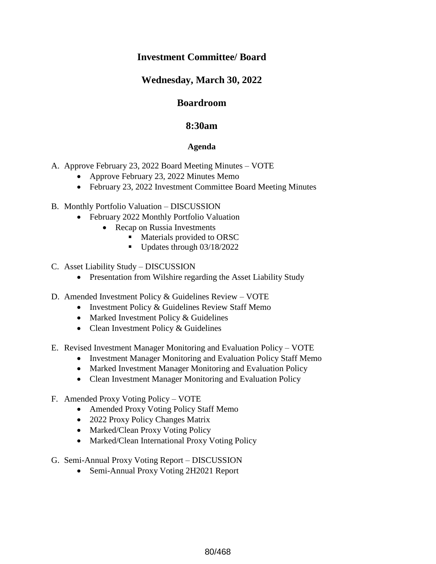# **Investment Committee/ Board**

# **Wednesday, March 30, 2022**

## **Boardroom**

## **8:30am**

### **Agenda**

- A. Approve February 23, 2022 Board Meeting Minutes VOTE
	- Approve February 23, 2022 Minutes Memo
	- February 23, 2022 Investment Committee Board Meeting Minutes

#### B. Monthly Portfolio Valuation – DISCUSSION

- February 2022 Monthly Portfolio Valuation
	- Recap on Russia Investments
		- **Materials provided to ORSC**
		- $\blacksquare$  Updates through 03/18/2022
- C. Asset Liability Study DISCUSSION
	- Presentation from Wilshire regarding the Asset Liability Study
- D. Amended Investment Policy & Guidelines Review VOTE
	- Investment Policy & Guidelines Review Staff Memo
	- Marked Investment Policy & Guidelines
	- Clean Investment Policy & Guidelines
- E. Revised Investment Manager Monitoring and Evaluation Policy VOTE
	- Investment Manager Monitoring and Evaluation Policy Staff Memo
	- Marked Investment Manager Monitoring and Evaluation Policy
	- Clean Investment Manager Monitoring and Evaluation Policy
- F. Amended Proxy Voting Policy VOTE
	- Amended Proxy Voting Policy Staff Memo
	- 2022 Proxy Policy Changes Matrix
	- Marked/Clean Proxy Voting Policy
	- Marked/Clean International Proxy Voting Policy
- G. Semi-Annual Proxy Voting Report DISCUSSION
	- Semi-Annual Proxy Voting 2H2021 Report